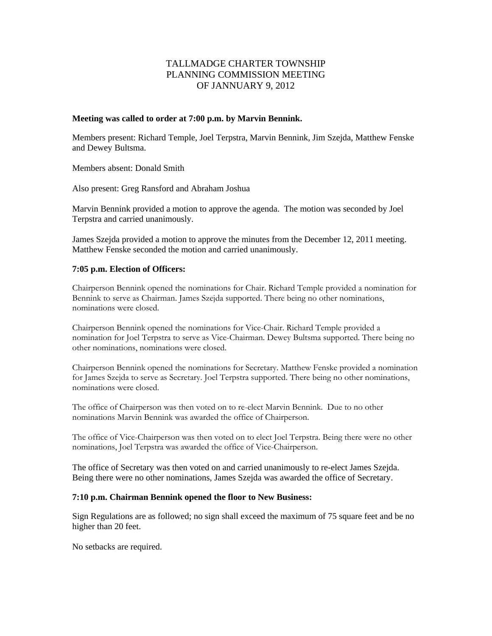# TALLMADGE CHARTER TOWNSHIP PLANNING COMMISSION MEETING OF JANNUARY 9, 2012

### **Meeting was called to order at 7:00 p.m. by Marvin Bennink.**

Members present: Richard Temple, Joel Terpstra, Marvin Bennink, Jim Szejda, Matthew Fenske and Dewey Bultsma.

Members absent: Donald Smith

Also present: Greg Ransford and Abraham Joshua

Marvin Bennink provided a motion to approve the agenda. The motion was seconded by Joel Terpstra and carried unanimously.

James Szejda provided a motion to approve the minutes from the December 12, 2011 meeting. Matthew Fenske seconded the motion and carried unanimously.

# **7:05 p.m. Election of Officers:**

Chairperson Bennink opened the nominations for Chair. Richard Temple provided a nomination for Bennink to serve as Chairman. James Szejda supported. There being no other nominations, nominations were closed.

Chairperson Bennink opened the nominations for Vice-Chair. Richard Temple provided a nomination for Joel Terpstra to serve as Vice-Chairman. Dewey Bultsma supported. There being no other nominations, nominations were closed.

Chairperson Bennink opened the nominations for Secretary. Matthew Fenske provided a nomination for James Szejda to serve as Secretary. Joel Terpstra supported. There being no other nominations, nominations were closed.

The office of Chairperson was then voted on to re-elect Marvin Bennink. Due to no other nominations Marvin Bennink was awarded the office of Chairperson.

The office of Vice-Chairperson was then voted on to elect Joel Terpstra. Being there were no other nominations, Joel Terpstra was awarded the office of Vice-Chairperson.

The office of Secretary was then voted on and carried unanimously to re-elect James Szejda. Being there were no other nominations, James Szejda was awarded the office of Secretary.

# **7:10 p.m. Chairman Bennink opened the floor to New Business:**

Sign Regulations are as followed; no sign shall exceed the maximum of 75 square feet and be no higher than 20 feet.

No setbacks are required.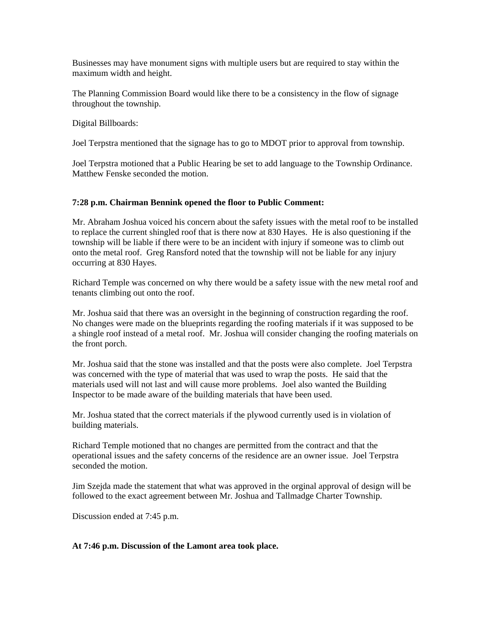Businesses may have monument signs with multiple users but are required to stay within the maximum width and height.

The Planning Commission Board would like there to be a consistency in the flow of signage throughout the township.

Digital Billboards:

Joel Terpstra mentioned that the signage has to go to MDOT prior to approval from township.

Joel Terpstra motioned that a Public Hearing be set to add language to the Township Ordinance. Matthew Fenske seconded the motion.

### **7:28 p.m. Chairman Bennink opened the floor to Public Comment:**

Mr. Abraham Joshua voiced his concern about the safety issues with the metal roof to be installed to replace the current shingled roof that is there now at 830 Hayes. He is also questioning if the township will be liable if there were to be an incident with injury if someone was to climb out onto the metal roof. Greg Ransford noted that the township will not be liable for any injury occurring at 830 Hayes.

Richard Temple was concerned on why there would be a safety issue with the new metal roof and tenants climbing out onto the roof.

Mr. Joshua said that there was an oversight in the beginning of construction regarding the roof. No changes were made on the blueprints regarding the roofing materials if it was supposed to be a shingle roof instead of a metal roof. Mr. Joshua will consider changing the roofing materials on the front porch.

Mr. Joshua said that the stone was installed and that the posts were also complete. Joel Terpstra was concerned with the type of material that was used to wrap the posts. He said that the materials used will not last and will cause more problems. Joel also wanted the Building Inspector to be made aware of the building materials that have been used.

Mr. Joshua stated that the correct materials if the plywood currently used is in violation of building materials.

Richard Temple motioned that no changes are permitted from the contract and that the operational issues and the safety concerns of the residence are an owner issue. Joel Terpstra seconded the motion.

Jim Szejda made the statement that what was approved in the orginal approval of design will be followed to the exact agreement between Mr. Joshua and Tallmadge Charter Township.

Discussion ended at 7:45 p.m.

# **At 7:46 p.m. Discussion of the Lamont area took place.**